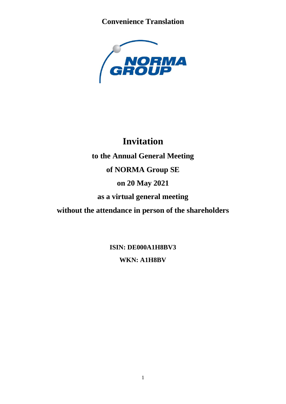

# **Invitation**

**to the Annual General Meeting of NORMA Group SE**

## **on 20 May 2021**

**as a virtual general meeting** 

**without the attendance in person of the shareholders**

**ISIN: DE000A1H8BV3 WKN: A1H8BV**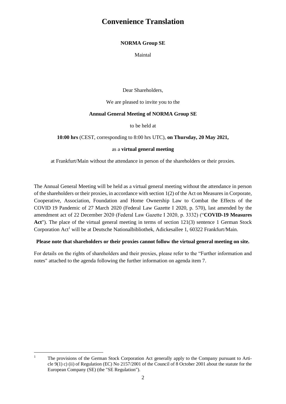### **NORMA Group SE**

Maintal

Dear Shareholders,

We are pleased to invite you to the

#### **Annual General Meeting of NORMA Group SE**

to be held at

**10:00 hrs** (CEST, corresponding to 8:00 hrs UTC), **on Thursday, 20 May 2021,**

#### as a **virtual general meeting**

at Frankfurt/Main without the attendance in person of the shareholders or their proxies.

The Annual General Meeting will be held as a virtual general meeting without the attendance in person of the shareholders or their proxies, in accordance with section 1(2) of the Act on Measures in Corporate, Cooperative, Association, Foundation and Home Ownership Law to Combat the Effects of the COVID 19 Pandemic of 27 March 2020 (Federal Law Gazette I 2020, p. 570), last amended by the amendment act of 22 December 2020 (Federal Law Gazette I 2020, p. 3332) ("**COVID-19 Measures**  Act"). The place of the virtual general meeting in terms of section 121(3) sentence 1 German Stock Corporation Act<sup>1</sup> will be at Deutsche Nationalbibliothek, Adickesallee 1, 60322 Frankfurt/Main.

### **Please note that shareholders or their proxies cannot follow the virtual general meeting on site.**

For details on the rights of shareholders and their proxies, please refer to the "Further information and notes" attached to the agenda following the further information on agenda item 7.

<sup>&</sup>lt;sup>1</sup> The provisions of the German Stock Corporation Act generally apply to the Company pursuant to Article 9(1) c) (ii) of Regulation (EC) No 2157/2001 of the Council of 8 October 2001 about the statute for the European Company (SE) (the "SE Regulation").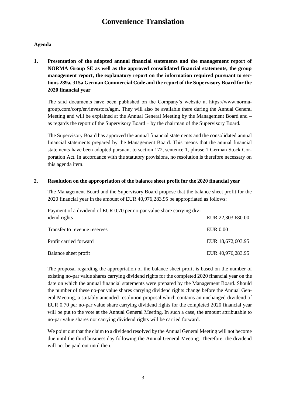### **Agenda**

**1. Presentation of the adopted annual financial statements and the management report of NORMA Group SE as well as the approved consolidated financial statements, the group management report, the explanatory report on the information required pursuant to sections 289a, 315a German Commercial Code and the report of the Supervisory Board for the 2020 financial year**

The said documents have been published on the Company's website at https://www.normagroup.com/corp/en/investors/agm. They will also be available there during the Annual General Meeting and will be explained at the Annual General Meeting by the Management Board and – as regards the report of the Supervisory Board – by the chairman of the Supervisory Board.

The Supervisory Board has approved the annual financial statements and the consolidated annual financial statements prepared by the Management Board. This means that the annual financial statements have been adopted pursuant to section 172, sentence 1, phrase 1 German Stock Corporation Act. In accordance with the statutory provisions, no resolution is therefore necessary on this agenda item.

#### **2. Resolution on the appropriation of the balance sheet profit for the 2020 financial year**

The Management Board and the Supervisory Board propose that the balance sheet profit for the 2020 financial year in the amount of EUR 40,976,283.95 be appropriated as follows:

| Payment of a dividend of EUR 0.70 per no-par value share carrying div- |                   |
|------------------------------------------------------------------------|-------------------|
| idend rights                                                           | EUR 22,303,680.00 |
| Transfer to revenue reserves                                           | <b>EUR 0.00</b>   |
| Profit carried forward                                                 | EUR 18,672,603.95 |
| Balance sheet profit                                                   | EUR 40,976,283.95 |

The proposal regarding the appropriation of the balance sheet profit is based on the number of existing no-par value shares carrying dividend rights for the completed 2020 financial year on the date on which the annual financial statements were prepared by the Management Board. Should the number of these no-par value shares carrying dividend rights change before the Annual General Meeting, a suitably amended resolution proposal which contains an unchanged dividend of EUR 0.70 per no-par value share carrying dividend rights for the completed 2020 financial year will be put to the vote at the Annual General Meeting. In such a case, the amount attributable to no-par value shares not carrying dividend rights will be carried forward.

We point out that the claim to a dividend resolved by the Annual General Meeting will not become due until the third business day following the Annual General Meeting. Therefore, the dividend will not be paid out until then.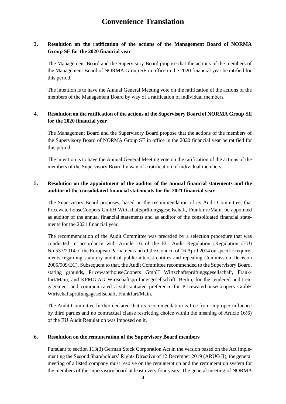### **3. Resolution on the ratification of the actions of the Management Board of NORMA Group SE for the 2020 financial year**

The Management Board and the Supervisory Board propose that the actions of the members of the Management Board of NORMA Group SE in office in the 2020 financial year be ratified for this period.

The intention is to have the Annual General Meeting vote on the ratification of the actions of the members of the Management Board by way of a ratification of individual members.

### **4. Resolution on the ratification of the actions of the Supervisory Board of NORMA Group SE for the 2020 financial year**

The Management Board and the Supervisory Board propose that the actions of the members of the Supervisory Board of NORMA Group SE in office in the 2020 financial year be ratified for this period.

The intention is to have the Annual General Meeting vote on the ratification of the actions of the members of the Supervisory Board by way of a ratification of individual members.

### **5. Resolution on the appointment of the auditor of the annual financial statements and the auditor of the consolidated financial statements for the 2021 financial year**

The Supervisory Board proposes, based on the recommendation of its Audit Committee, that PricewaterhouseCoopers GmbH Wirtschaftsprüfungsgesellschaft, Frankfurt/Main, be appointed as auditor of the annual financial statements and as auditor of the consolidated financial statements for the 2021 financial year.

The recommendation of the Audit Committee was preceded by a selection procedure that was conducted in accordance with Article 16 of the EU Audit Regulation (Regulation (EU) No 537/2014 of the European Parliament and of the Council of 16 April 2014 on specific requirements regarding statutory audit of public-interest entities and repealing Commission Decision 2005/909/EC). Subsequent to that, the Audit Committee recommended to the Supervisory Board, stating grounds, PricewaterhouseCoopers GmbH Wirtschaftsprüfungsgesellschaft, Frankfurt/Main, and KPMG AG Wirtschaftsprüfungsgesellschaft, Berlin, for the tendered audit engagement and communicated a substantiated preference for PricewaterhouseCoopers GmbH Wirtschaftsprüfungsgesellschaft, Frankfurt/Main.

The Audit Committee further declared that its recommendation is free from improper influence by third parties and no contractual clause restricting choice within the meaning of Article 16(6) of the EU Audit Regulation was imposed on it.

#### **6. Resolution on the remuneration of the Supervisory Board members**

Pursuant to section 113(3) German Stock Corporation Act in the version based on the Act Implementing the Second Shareholders' Rights Directive of 12 December 2019 (ARUG II), the general meeting of a listed company must resolve on the remuneration and the remuneration system for the members of the supervisory board at least every four years. The general meeting of NORMA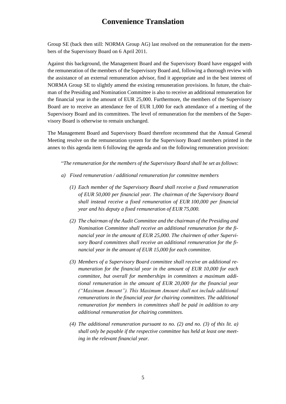Group SE (back then still: NORMA Group AG) last resolved on the remuneration for the members of the Supervisory Board on 6 April 2011.

Against this background, the Management Board and the Supervisory Board have engaged with the remuneration of the members of the Supervisory Board and, following a thorough review with the assistance of an external remuneration advisor, find it appropriate and in the best interest of NORMA Group SE to slightly amend the existing remuneration provisions. In future, the chairman of the Presiding and Nomination Committee is also to receive an additional remuneration for the financial year in the amount of EUR 25,000. Furthermore, the members of the Supervisory Board are to receive an attendance fee of EUR 1,000 for each attendance of a meeting of the Supervisory Board and its committees. The level of remuneration for the members of the Supervisory Board is otherwise to remain unchanged.

The Management Board and Supervisory Board therefore recommend that the Annual General Meeting resolve on the remuneration system for the Supervisory Board members printed in the annex to this agenda item 6 following the agenda and on the following remuneration provision:

"*The remuneration for the members of the Supervisory Board shall be set as follows*:

- *a) Fixed remuneration / additional remuneration for committee members*
	- *(1) Each member of the Supervisory Board shall receive a fixed remuneration of EUR 50,000 per financial year. The chairman of the Supervisory Board shall instead receive a fixed remuneration of EUR 100,000 per financial year and his deputy a fixed remuneration of EUR 75,000.*
	- *(2) The chairman of the Audit Committee and the chairman of the Presiding and Nomination Committee shall receive an additional remuneration for the financial year in the amount of EUR 25,000. The chairmen of other Supervisory Board committees shall receive an additional remuneration for the financial year in the amount of EUR 15,000 for each committee.*
	- *(3) Members of a Supervisory Board committee shall receive an additional remuneration for the financial year in the amount of EUR 10,000 for each committee, but overall for memberships in committees a maximum additional remuneration in the amount of EUR 20,000 for the financial year ("Maximum Amount"). This Maximum Amount shall not include additional remunerations in the financial year for chairing committees. The additional remuneration for members in committees shall be paid in addition to any additional remuneration for chairing committees.*
	- *(4) The additional remuneration pursuant to no. (2) and no. (3) of this lit. a) shall only be payable if the respective committee has held at least one meeting in the relevant financial year.*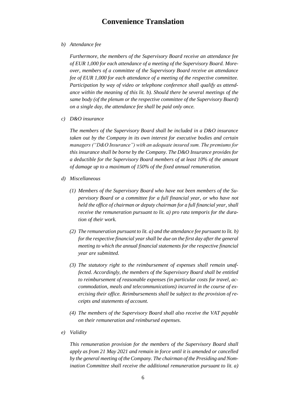*b) Attendance fee*

*Furthermore, the members of the Supervisory Board receive an attendance fee of EUR 1,000 for each attendance of a meeting of the Supervisory Board. Moreover, members of a committee of the Supervisory Board receive an attendance fee of EUR 1,000 for each attendance of a meeting of the respective committee. Participation by way of video or telephone conference shall qualify as attendance within the meaning of this lit. b). Should there be several meetings of the same body (of the plenum or the respective committee of the Supervisory Board) on a single day, the attendance fee shall be paid only once.*

*c) D&O insurance*

*The members of the Supervisory Board shall be included in a D&O insurance taken out by the Company in its own interest for executive bodies and certain managers ("D&O Insurance") with an adequate insured sum. The premiums for this insurance shall be borne by the Company. The D&O Insurance provides for a deductible for the Supervisory Board members of at least 10% of the amount of damage up to a maximum of 150% of the fixed annual remuneration.*

- *d) Miscellaneous*
	- *(1) Members of the Supervisory Board who have not been members of the Supervisory Board or a committee for a full financial year, or who have not held the office of chairman or deputy chairman for a full financial year, shall receive the remuneration pursuant to lit. a) pro rata temporis for the duration of their work.*
	- *(2) The remuneration pursuant to lit. a) and the attendance fee pursuant to lit. b) for the respective financial year shall be due on the first day after the general meeting to which the annual financial statements for the respective financial year are submitted.*
	- *(3) The statutory right to the reimbursement of expenses shall remain unaffected. Accordingly, the members of the Supervisory Board shall be entitled to reimbursement of reasonable expenses (in particular costs for travel, accommodation, meals and telecommunications) incurred in the course of exercising their office. Reimbursements shall be subject to the provision of receipts and statements of account.*
	- *(4) The members of the Supervisory Board shall also receive the VAT payable on their remuneration and reimbursed expenses.*
- *e) Validity*

*This remuneration provision for the members of the Supervisory Board shall apply as from 21 May 2021 and remain in force until it is amended or cancelled by the general meeting of the Company. The chairman of the Presiding and Nomination Committee shall receive the additional remuneration pursuant to lit. a)*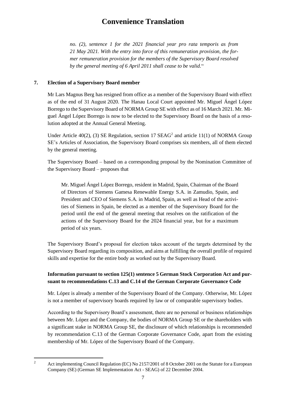*no. (2), sentence 1 for the 2021 financial year pro rata temporis as from 21 May 2021. With the entry into force of this remuneration provision, the former remuneration provision for the members of the Supervisory Board resolved by the general meeting of 6 April 2011 shall cease to be valid.*"

### **7. Election of a Supervisory Board member**

Mr Lars Magnus Berg has resigned from office as a member of the Supervisory Board with effect as of the end of 31 August 2020. The Hanau Local Court appointed Mr. Miguel Ángel López Borrego to the Supervisory Board of NORMA Group SE with effect as of 16 March 2021. Mr. Miguel Ángel López Borrego is now to be elected to the Supervisory Board on the basis of a resolution adopted at the Annual General Meeting.

Under Article  $40(2)$ , (3) SE Regulation, section 17 SEAG<sup>2</sup> and article 11(1) of NORMA Group SE's Articles of Association, the Supervisory Board comprises six members, all of them elected by the general meeting.

The Supervisory Board – based on a corresponding proposal by the Nomination Committee of the Supervisory Board – proposes that

Mr. Miguel Ángel López Borrego, resident in Madrid, Spain, Chairman of the Board of Directors of Siemens Gamesa Renewable Energy S.A. in Zamudio, Spain, and President and CEO of Siemens S.A. in Madrid, Spain, as well as Head of the activities of Siemens in Spain, be elected as a member of the Supervisory Board for the period until the end of the general meeting that resolves on the ratification of the actions of the Supervisory Board for the 2024 financial year, but for a maximum period of six years.

The Supervisory Board's proposal for election takes account of the targets determined by the Supervisory Board regarding its composition, and aims at fulfilling the overall profile of required skills and expertise for the entire body as worked out by the Supervisory Board.

### **Information pursuant to section 125(1) sentence 5 German Stock Corporation Act and pursuant to recommendations C.13 and C.14 of the German Corporate Governance Code**

Mr. López is already a member of the Supervisory Board of the Company. Otherwise, Mr. López is not a member of supervisory boards required by law or of comparable supervisory bodies.

According to the Supervisory Board's assessment, there are no personal or business relationships between Mr. López and the Company, the bodies of NORMA Group SE or the shareholders with a significant stake in NORMA Group SE, the disclosure of which relationships is recommended by recommendation C.13 of the German Corporate Governance Code, apart from the existing membership of Mr. López of the Supervisory Board of the Company.

<sup>&</sup>lt;sup>2</sup> Act implementing Council Regulation (EC) No 2157/2001 of 8 October 2001 on the Statute for a European Company (SE) (German SE Implementation Act - SEAG) of 22 December 2004.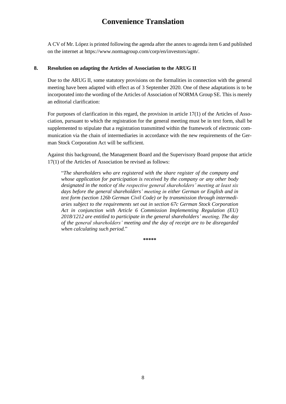A CV of Mr. López is printed following the agenda after the annex to agenda item 6 and published on the internet at https://www.normagroup.com/corp/en/investors/agm/.

#### **8. Resolution on adapting the Articles of Association to the ARUG II**

Due to the ARUG II, some statutory provisions on the formalities in connection with the general meeting have been adapted with effect as of 3 September 2020. One of these adaptations is to be incorporated into the wording of the Articles of Association of NORMA Group SE. This is merely an editorial clarification:

For purposes of clarification in this regard, the provision in article 17(1) of the Articles of Association, pursuant to which the registration for the general meeting must be in text form, shall be supplemented to stipulate that a registration transmitted within the framework of electronic communication via the chain of intermediaries in accordance with the new requirements of the German Stock Corporation Act will be sufficient.

Against this background, the Management Board and the Supervisory Board propose that article 17(1) of the Articles of Association be revised as follows:

"*The shareholders who are registered with the share register of the company and whose application for participation is received by the company or any other body designated in the notice of the respective general shareholders' meeting at least six days before the general shareholders' meeting in either German or English and in text form (section 126b German Civil Code) or by transmission through intermediaries subject to the requirements set out in section 67c German Stock Corporation Act in conjunction with Article 6 Commission Implementing Regulation (EU) 2018/1212 are entitled to participate in the general shareholders' meeting. The day of the general shareholders' meeting and the day of receipt are to be disregarded when calculating such period.*"

**\*\*\*\*\***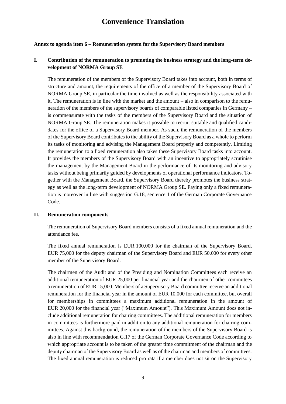#### **Annex to agenda item 6 – Remuneration system for the Supervisory Board members**

### **I. Contribution of the remuneration to promoting the business strategy and the long-term development of NORMA Group SE**

The remuneration of the members of the Supervisory Board takes into account, both in terms of structure and amount, the requirements of the office of a member of the Supervisory Board of NORMA Group SE, in particular the time involved as well as the responsibility associated with it. The remuneration is in line with the market and the amount – also in comparison to the remuneration of the members of the supervisory boards of comparable listed companies in Germany – is commensurate with the tasks of the members of the Supervisory Board and the situation of NORMA Group SE. The remuneration makes it possible to recruit suitable and qualified candidates for the office of a Supervisory Board member. As such, the remuneration of the members of the Supervisory Board contributes to the ability of the Supervisory Board as a whole to perform its tasks of monitoring and advising the Management Board properly and competently. Limiting the remuneration to a fixed remuneration also takes these Supervisory Board tasks into account. It provides the members of the Supervisory Board with an incentive to appropriately scrutinise the management by the Management Board in the performance of its monitoring and advisory tasks without being primarily guided by developments of operational performance indicators. Together with the Management Board, the Supervisory Board thereby promotes the business strategy as well as the long-term development of NORMA Group SE. Paying only a fixed remuneration is moreover in line with suggestion G.18, sentence 1 of the German Corporate Governance Code.

#### **II. Remuneration components**

The remuneration of Supervisory Board members consists of a fixed annual remuneration and the attendance fee.

The fixed annual remuneration is EUR 100,000 for the chairman of the Supervisory Board, EUR 75,000 for the deputy chairman of the Supervisory Board and EUR 50,000 for every other member of the Supervisory Board.

The chairmen of the Audit and of the Presiding and Nomination Committees each receive an additional remuneration of EUR 25,000 per financial year and the chairmen of other committees a remuneration of EUR 15,000. Members of a Supervisory Board committee receive an additional remuneration for the financial year in the amount of EUR 10,000 for each committee, but overall for memberships in committees a maximum additional remuneration in the amount of EUR 20,000 for the financial year ("Maximum Amount"). This Maximum Amount does not include additional remuneration for chairing committees. The additional remuneration for members in committees is furthermore paid in addition to any additional remuneration for chairing committees. Against this background, the remuneration of the members of the Supervisory Board is also in line with recommendation G.17 of the German Corporate Governance Code according to which appropriate account is to be taken of the greater time commitment of the chairman and the deputy chairman of the Supervisory Board as well as of the chairman and members of committees. The fixed annual remuneration is reduced pro rata if a member does not sit on the Supervisory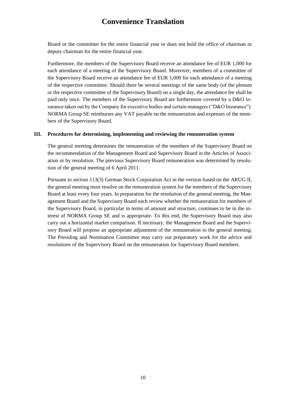Board or the committee for the entire financial year or does not hold the office of chairman or deputy chairman for the entire financial year.

Furthermore, the members of the Supervisory Board receive an attendance fee of EUR 1,000 for each attendance of a meeting of the Supervisory Board. Moreover, members of a committee of the Supervisory Board receive an attendance fee of EUR 1,000 for each attendance of a meeting of the respective committee. Should there be several meetings of the same body (of the plenum or the respective committee of the Supervisory Board) on a single day, the attendance fee shall be paid only once. The members of the Supervisory Board are furthermore covered by a D&O insurance taken out by the Company for executive bodies and certain managers ("D&O Insurance"). NORMA Group SE reimburses any VAT payable on the remuneration and expenses of the members of the Supervisory Board.

#### **III. Procedures for determining, implementing and reviewing the remuneration system**

The general meeting determines the remuneration of the members of the Supervisory Board on the recommendation of the Management Board and Supervisory Board in the Articles of Association or by resolution. The previous Supervisory Board remuneration was determined by resolution of the general meeting of 6 April 2011.

Pursuant to section 113(3) German Stock Corporation Act in the version based on the ARUG II, the general meeting must resolve on the remuneration system for the members of the Supervisory Board at least every four years. In preparation for the resolution of the general meeting, the Management Board and the Supervisory Board each review whether the remuneration for members of the Supervisory Board, in particular in terms of amount and structure, continues to be in the interest of NORMA Group SE and is appropriate. To this end, the Supervisory Board may also carry out a horizontal market comparison. If necessary, the Management Board and the Supervisory Board will propose an appropriate adjustment of the remuneration to the general meeting. The Presiding and Nomination Committee may carry out preparatory work for the advice and resolutions of the Supervisory Board on the remuneration for Supervisory Board members.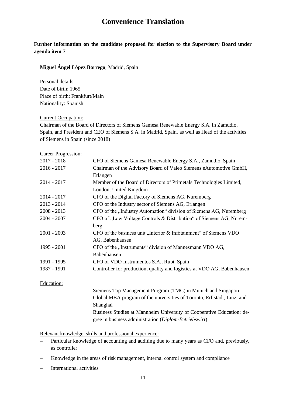**Further information on the candidate proposed for election to the Supervisory Board under agenda item 7**

**Miguel Ángel López Borrego**, Madrid, Spain

Personal details: Date of birth: 1965 Place of birth: Frankfurt/Main Nationality: Spanish

#### Current Occupation:

Chairman of the Board of Directors of Siemens Gamesa Renewable Energy S.A. in Zamudio, Spain, and President and CEO of Siemens S.A. in Madrid, Spain, as well as Head of the activities of Siemens in Spain (since 2018)

#### Career Progression:

| $2017 - 2018$                                                                      | CFO of Siemens Gamesa Renewable Energy S.A., Zamudio, Spain             |  |
|------------------------------------------------------------------------------------|-------------------------------------------------------------------------|--|
| $2016 - 2017$<br>Chairman of the Advisory Board of Valeo Siemens eAutomotive GmbH, |                                                                         |  |
|                                                                                    | Erlangen                                                                |  |
| $2014 - 2017$                                                                      | Member of the Board of Directors of Primetals Technologies Limited,     |  |
|                                                                                    | London, United Kingdom                                                  |  |
| $2014 - 2017$                                                                      | CFO of the Digital Factory of Siemens AG, Nuremberg                     |  |
| $2013 - 2014$                                                                      | CFO of the Industry sector of Siemens AG, Erlangen                      |  |
| $2008 - 2013$                                                                      | CFO of the "Industry Automation" division of Siemens AG, Nuremberg      |  |
| $2004 - 2007$                                                                      | CFO of "Low Voltage Controls & Distribution" of Siemens AG, Nurem-      |  |
|                                                                                    | berg                                                                    |  |
| $2001 - 2003$                                                                      | CFO of the business unit "Interior & Infotainment" of Siemens VDO       |  |
|                                                                                    | AG, Babenhausen                                                         |  |
| 1995 - 2001                                                                        | CFO of the "Instruments" division of Mannesmann VDO AG,                 |  |
|                                                                                    | Babenhausen                                                             |  |
| 1991 - 1995                                                                        | CFO of VDO Instrumentos S.A., Rubi, Spain                               |  |
| 1987 - 1991                                                                        | Controller for production, quality and logistics at VDO AG, Babenhausen |  |
| Education:                                                                         |                                                                         |  |
|                                                                                    | Siemens Top Management Program (TMC) in Munich and Singapore            |  |
|                                                                                    | Global MBA program of the universities of Toronto, Erftstadt, Linz, and |  |
|                                                                                    | Shanghai                                                                |  |
|                                                                                    | Business Studies at Mannheim University of Cooperative Education; de-   |  |

gree in business administration (*Diplom-Betriebswirt*)

Relevant knowledge, skills and professional experience:

- Particular knowledge of accounting and auditing due to many years as CFO and, previously, as controller
- Knowledge in the areas of risk management, internal control system and compliance
- International activities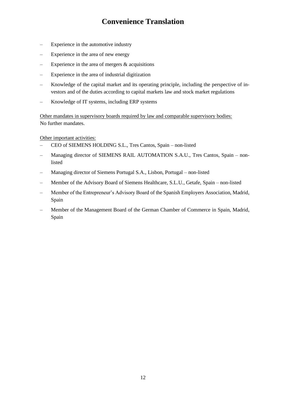- Experience in the automotive industry
- Experience in the area of new energy
- Experience in the area of mergers  $\&$  acquisitions
- Experience in the area of industrial digitization
- Knowledge of the capital market and its operating principle, including the perspective of investors and of the duties according to capital markets law and stock market regulations
- Knowledge of IT systems, including ERP systems

Other mandates in supervisory boards required by law and comparable supervisory bodies: No further mandates.

Other important activities:

- CEO of SIEMENS HOLDING S.L., Tres Cantos, Spain non-listed
- Managing director of SIEMENS RAIL AUTOMATION S.A.U., Tres Cantos, Spain nonlisted
- Managing director of Siemens Portugal S.A., Lisbon, Portugal non-listed
- Member of the Advisory Board of Siemens Healthcare, S.L.U., Getafe, Spain non-listed
- Member of the Entrepreneur's Advisory Board of the Spanish Employers Association, Madrid, Spain
- Member of the Management Board of the German Chamber of Commerce in Spain, Madrid, Spain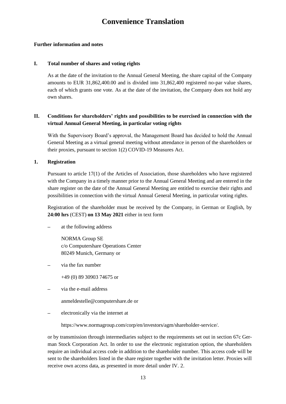#### **Further information and notes**

#### **I. Total number of shares and voting rights**

As at the date of the invitation to the Annual General Meeting, the share capital of the Company amounts to EUR 31,862,400.00 and is divided into 31,862,400 registered no-par value shares, each of which grants one vote. As at the date of the invitation, the Company does not hold any own shares.

### **II. Conditions for shareholders' rights and possibilities to be exercised in connection with the virtual Annual General Meeting, in particular voting rights**

With the Supervisory Board's approval, the Management Board has decided to hold the Annual General Meeting as a virtual general meeting without attendance in person of the shareholders or their proxies, pursuant to section 1(2) COVID-19 Measures Act.

**1. Registration**

Pursuant to article 17(1) of the Articles of Association, those shareholders who have registered with the Company in a timely manner prior to the Annual General Meeting and are entered in the share register on the date of the Annual General Meeting are entitled to exercise their rights and possibilities in connection with the virtual Annual General Meeting, in particular voting rights.

Registration of the shareholder must be received by the Company, in German or English, by **24:00 hrs** (CEST) **on 13 May 2021** either in text form

at the following address

NORMA Group SE c/o Computershare Operations Center 80249 Munich, Germany or

- via the fax number
	- +49 (0) 89 30903 74675 or
- via the e-mail address

anmeldestelle@computershare.de or

electronically via the internet at

https://www.normagroup.com/corp/en/investors/agm/shareholder-service/.

or by transmission through intermediaries subject to the requirements set out in section 67c German Stock Corporation Act. In order to use the electronic registration option, the shareholders require an individual access code in addition to the shareholder number. This access code will be sent to the shareholders listed in the share register together with the invitation letter. Proxies will receive own access data, as presented in more detail under IV. 2.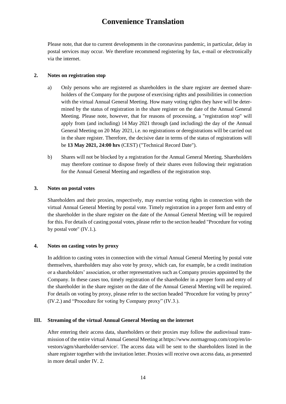Please note, that due to current developments in the coronavirus pandemic, in particular, delay in postal services may occur. We therefore recommend registering by fax, e-mail or electronically via the internet.

#### **2. Notes on registration stop**

- a) Only persons who are registered as shareholders in the share register are deemed shareholders of the Company for the purpose of exercising rights and possibilities in connection with the virtual Annual General Meeting. How many voting rights they have will be determined by the status of registration in the share register on the date of the Annual General Meeting. Please note, however, that for reasons of processing, a "registration stop" will apply from (and including) 14 May 2021 through (and including) the day of the Annual General Meeting on 20 May 2021, i.e. no registrations or deregistrations will be carried out in the share register. Therefore, the decisive date in terms of the status of registrations will be **13 May 2021, 24:00 hrs** (CEST) ("Technical Record Date").
- b) Shares will not be blocked by a registration for the Annual General Meeting. Shareholders may therefore continue to dispose freely of their shares even following their registration for the Annual General Meeting and regardless of the registration stop.

#### **3. Notes on postal votes**

Shareholders and their proxies, respectively, may exercise voting rights in connection with the virtual Annual General Meeting by postal vote. Timely registration in a proper form and entry of the shareholder in the share register on the date of the Annual General Meeting will be required for this. For details of casting postal votes, please refer to the section headed "Procedure for voting by postal vote" (IV.1.).

#### **4. Notes on casting votes by proxy**

In addition to casting votes in connection with the virtual Annual General Meeting by postal vote themselves, shareholders may also vote by proxy, which can, for example, be a credit institution or a shareholders' association, or other representatives such as Company proxies appointed by the Company. In these cases too, timely registration of the shareholder in a proper form and entry of the shareholder in the share register on the date of the Annual General Meeting will be required. For details on voting by proxy, please refer to the section headed "Procedure for voting by proxy" (IV.2.) and "Procedure for voting by Company proxy" (IV.3.).

#### **III. Streaming of the virtual Annual General Meeting on the internet**

After entering their access data, shareholders or their proxies may follow the audiovisual transmission of the entire virtual Annual General Meeting at https://www.normagroup.com/corp/en/investors/agm/shareholder-service/. The access data will be sent to the shareholders listed in the share register together with the invitation letter. Proxies will receive own access data, as presented in more detail under IV. 2.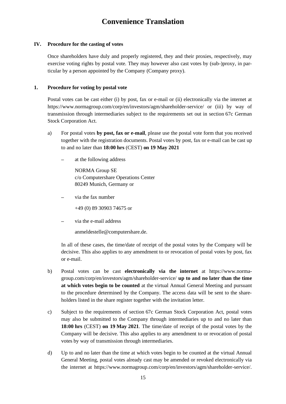#### **IV. Procedure for the casting of votes**

Once shareholders have duly and properly registered, they and their proxies, respectively, may exercise voting rights by postal vote. They may however also cast votes by (sub-)proxy, in particular by a person appointed by the Company (Company proxy).

#### **1. Procedure for voting by postal vote**

Postal votes can be cast either (i) by post, fax or e-mail or (ii) electronically via the internet at https://www.normagroup.com/corp/en/investors/agm/shareholder-service/ or (iii) by way of transmission through intermediaries subject to the requirements set out in section 67c German Stock Corporation Act.

- a) For postal votes **by post, fax or e-mail**, please use the postal vote form that you received together with the registration documents. Postal votes by post, fax or e-mail can be cast up to and no later than **18:00 hrs** (CEST) **on 19 May 2021**
	- at the following address

NORMA Group SE c/o Computershare Operations Center 80249 Munich, Germany or

─ via the fax number

+49 (0) 89 30903 74675 or

via the e-mail address

anmeldestelle@computershare.de.

In all of these cases, the time/date of receipt of the postal votes by the Company will be decisive. This also applies to any amendment to or revocation of postal votes by post, fax or e-mail.

- b) Postal votes can be cast **electronically via the internet** at https://www.normagroup.com/corp/en/investors/agm/shareholder-service/ **up to and no later than the time at which votes begin to be counted** at the virtual Annual General Meeting and pursuant to the procedure determined by the Company. The access data will be sent to the shareholders listed in the share register together with the invitation letter.
- c) Subject to the requirements of section 67c German Stock Corporation Act, postal votes may also be submitted to the Company through intermediaries up to and no later than **18:00 hrs** (CEST) **on 19 May 2021**. The time/date of receipt of the postal votes by the Company will be decisive. This also applies to any amendment to or revocation of postal votes by way of transmission through intermediaries.
- d) Up to and no later than the time at which votes begin to be counted at the virtual Annual General Meeting, postal votes already cast may be amended or revoked electronically via the internet at https://www.normagroup.com/corp/en/investors/agm/shareholder-service/.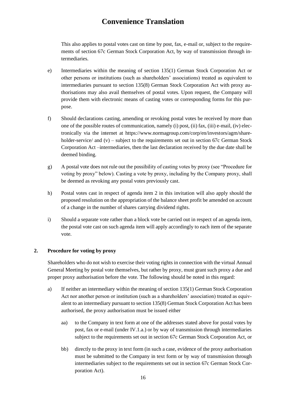This also applies to postal votes cast on time by post, fax, e-mail or, subject to the requirements of section 67c German Stock Corporation Act, by way of transmission through intermediaries.

- e) Intermediaries within the meaning of section 135(1) German Stock Corporation Act or other persons or institutions (such as shareholders' associations) treated as equivalent to intermediaries pursuant to section 135(8) German Stock Corporation Act with proxy authorisations may also avail themselves of postal votes. Upon request, the Company will provide them with electronic means of casting votes or corresponding forms for this purpose.
- f) Should declarations casting, amending or revoking postal votes be received by more than one of the possible routes of communication, namely (i) post, (ii) fax, (iii) e-mail, (iv) electronically via the internet at https://www.normagroup.com/corp/en/investors/agm/shareholder-service/ and  $(v)$  – subject to the requirements set out in section 67c German Stock Corporation Act –intermediaries, then the last declaration received by the due date shall be deemed binding.
- g) A postal vote does not rule out the possibility of casting votes by proxy (see "Procedure for voting by proxy" below). Casting a vote by proxy, including by the Company proxy, shall be deemed as revoking any postal votes previously cast.
- h) Postal votes cast in respect of agenda item 2 in this invitation will also apply should the proposed resolution on the appropriation of the balance sheet profit be amended on account of a change in the number of shares carrying dividend rights.
- i) Should a separate vote rather than a block vote be carried out in respect of an agenda item, the postal vote cast on such agenda item will apply accordingly to each item of the separate vote.

### **2. Procedure for voting by proxy**

Shareholders who do not wish to exercise their voting rights in connection with the virtual Annual General Meeting by postal vote themselves, but rather by proxy, must grant such proxy a due and proper proxy authorisation before the vote. The following should be noted in this regard:

- a) If neither an intermediary within the meaning of section 135(1) German Stock Corporation Act nor another person or institution (such as a shareholders' association) treated as equivalent to an intermediary pursuant to section 135(8) German Stock Corporation Act has been authorised, the proxy authorisation must be issued either
	- aa) to the Company in text form at one of the addresses stated above for postal votes by post, fax or e-mail (under IV.1.a.) or by way of transmission through intermediaries subject to the requirements set out in section 67c German Stock Corporation Act, or
	- bb) directly to the proxy in text form (in such a case, evidence of the proxy authorisation must be submitted to the Company in text form or by way of transmission through intermediaries subject to the requirements set out in section 67c German Stock Corporation Act).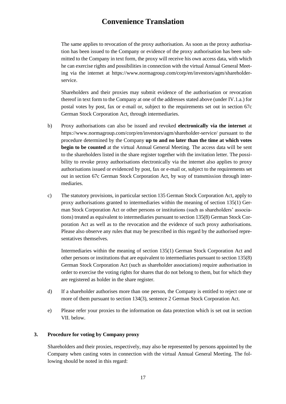The same applies to revocation of the proxy authorisation. As soon as the proxy authorisation has been issued to the Company or evidence of the proxy authorisation has been submitted to the Company in text form, the proxy will receive his own access data, with which he can exercise rights and possibilities in connection with the virtual Annual General Meeting via the internet at https://www.normagroup.com/corp/en/investors/agm/shareholderservice.

Shareholders and their proxies may submit evidence of the authorisation or revocation thereof in text form to the Company at one of the addresses stated above (under IV.1.a.) for postal votes by post, fax or e-mail or, subject to the requirements set out in section 67c German Stock Corporation Act, through intermediaries.

- b) Proxy authorisations can also be issued and revoked **electronically via the internet** at https://www.normagroup.com/corp/en/investors/agm/shareholder-service/ pursuant to the procedure determined by the Company **up to and no later than the time at which votes begin to be counted** at the virtual Annual General Meeting. The access data will be sent to the shareholders listed in the share register together with the invitation letter. The possibility to revoke proxy authorisations electronically via the internet also applies to proxy authorisations issued or evidenced by post, fax or e-mail or, subject to the requirements set out in section 67c German Stock Corporation Act, by way of transmission through intermediaries.
- c) The statutory provisions, in particular section 135 German Stock Corporation Act, apply to proxy authorisations granted to intermediaries within the meaning of section 135(1) German Stock Corporation Act or other persons or institutions (such as shareholders' associations) treated as equivalent to intermediaries pursuant to section 135(8) German Stock Corporation Act as well as to the revocation and the evidence of such proxy authorisations. Please also observe any rules that may be prescribed in this regard by the authorised representatives themselves.

Intermediaries within the meaning of section 135(1) German Stock Corporation Act and other persons or institutions that are equivalent to intermediaries pursuant to section 135(8) German Stock Corporation Act (such as shareholder associations) require authorisation in order to exercise the voting rights for shares that do not belong to them, but for which they are registered as holder in the share register.

- d) If a shareholder authorises more than one person, the Company is entitled to reject one or more of them pursuant to section 134(3), sentence 2 German Stock Corporation Act.
- e) Please refer your proxies to the information on data protection which is set out in section VII. below.

### **3. Procedure for voting by Company proxy**

Shareholders and their proxies, respectively, may also be represented by persons appointed by the Company when casting votes in connection with the virtual Annual General Meeting. The following should be noted in this regard: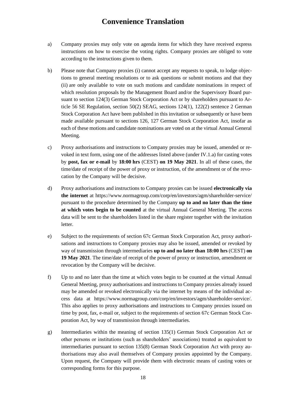- a) Company proxies may only vote on agenda items for which they have received express instructions on how to exercise the voting rights. Company proxies are obliged to vote according to the instructions given to them.
- b) Please note that Company proxies (i) cannot accept any requests to speak, to lodge objections to general meeting resolutions or to ask questions or submit motions and that they (ii) are only available to vote on such motions and candidate nominations in respect of which resolution proposals by the Management Board and/or the Supervisory Board pursuant to section 124(3) German Stock Corporation Act or by shareholders pursuant to Article 56 SE Regulation, section 50(2) SEAG, sections 124(1), 122(2) sentence 2 German Stock Corporation Act have been published in this invitation or subsequently or have been made available pursuant to sections 126, 127 German Stock Corporation Act, insofar as each of these motions and candidate nominations are voted on at the virtual Annual General Meeting.
- c) Proxy authorisations and instructions to Company proxies may be issued, amended or revoked in text form, using one of the addresses listed above (under IV.1.a) for casting votes by **post, fax or e-mail** by **18:00 hrs** (CEST) **on 19 May 2021**. In all of these cases, the time/date of receipt of the power of proxy or instruction, of the amendment or of the revocation by the Company will be decisive.
- d) Proxy authorisations and instructions to Company proxies can be issued **electronically via the internet** at https://www.normagroup.com/corp/en/investors/agm/shareholder-service/ pursuant to the procedure determined by the Company **up to and no later than the time at which votes begin to be counted** at the virtual Annual General Meeting. The access data will be sent to the shareholders listed in the share register together with the invitation letter.
- e) Subject to the requirements of section 67c German Stock Corporation Act, proxy authorisations and instructions to Company proxies may also be issued, amended or revoked by way of transmission through intermediaries **up to and no later than 18:00 hrs** (CEST) **on 19 May 2021**. The time/date of receipt of the power of proxy or instruction, amendment or revocation by the Company will be decisive.
- f) Up to and no later than the time at which votes begin to be counted at the virtual Annual General Meeting, proxy authorisations and instructions to Company proxies already issued may be amended or revoked electronically via the internet by means of the individual access data at https://www.normagroup.com/corp/en/investors/agm/shareholder-service/. This also applies to proxy authorisations and instructions to Company proxies issued on time by post, fax, e-mail or, subject to the requirements of section 67c German Stock Corporation Act, by way of transmission through intermediaries.
- g) Intermediaries within the meaning of section 135(1) German Stock Corporation Act or other persons or institutions (such as shareholders' associations) treated as equivalent to intermediaries pursuant to section 135(8) German Stock Corporation Act with proxy authorisations may also avail themselves of Company proxies appointed by the Company. Upon request, the Company will provide them with electronic means of casting votes or corresponding forms for this purpose.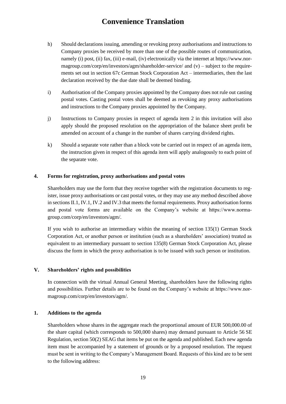- h) Should declarations issuing, amending or revoking proxy authorisations and instructions to Company proxies be received by more than one of the possible routes of communication, namely (i) post, (ii) fax, (iii) e-mail, (iv) electronically via the internet at https://www.normagroup.com/corp/en/investors/agm/shareholder-service/ and (v) – subject to the requirements set out in section 67c German Stock Corporation Act – intermediaries, then the last declaration received by the due date shall be deemed binding.
- i) Authorisation of the Company proxies appointed by the Company does not rule out casting postal votes. Casting postal votes shall be deemed as revoking any proxy authorisations and instructions to the Company proxies appointed by the Company.
- j) Instructions to Company proxies in respect of agenda item 2 in this invitation will also apply should the proposed resolution on the appropriation of the balance sheet profit be amended on account of a change in the number of shares carrying dividend rights.
- k) Should a separate vote rather than a block vote be carried out in respect of an agenda item, the instruction given in respect of this agenda item will apply analogously to each point of the separate vote.

#### **4. Forms for registration, proxy authorisations and postal votes**

Shareholders may use the form that they receive together with the registration documents to register, issue proxy authorisations or cast postal votes, or they may use any method described above in sections II.1, IV.1, IV.2 and IV.3 that meets the formal requirements. Proxy authorisation forms and postal vote forms are available on the Company's website at https://www.normagroup.com/corp/en/investors/agm/.

If you wish to authorise an intermediary within the meaning of section 135(1) German Stock Corporation Act, or another person or institution (such as a shareholders' association) treated as equivalent to an intermediary pursuant to section 135(8) German Stock Corporation Act, please discuss the form in which the proxy authorisation is to be issued with such person or institution.

#### **V. Shareholders' rights and possibilities**

In connection with the virtual Annual General Meeting, shareholders have the following rights and possibilities. Further details are to be found on the Company's website at https://www.normagroup.com/corp/en/investors/agm/.

#### **1. Additions to the agenda**

Shareholders whose shares in the aggregate reach the proportional amount of EUR 500,000.00 of the share capital (which corresponds to 500,000 shares) may demand pursuant to Article 56 SE Regulation, section 50(2) SEAG that items be put on the agenda and published. Each new agenda item must be accompanied by a statement of grounds or by a proposed resolution. The request must be sent in writing to the Company's Management Board. Requests of this kind are to be sent to the following address: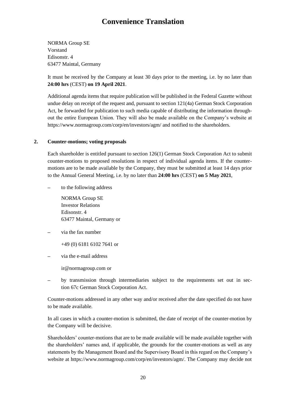NORMA Group SE Vorstand Edisonstr. 4 63477 Maintal, Germany

It must be received by the Company at least 30 days prior to the meeting, i.e. by no later than **24:00 hrs** (CEST) **on 19 April 2021**.

Additional agenda items that require publication will be published in the Federal Gazette without undue delay on receipt of the request and, pursuant to section 121(4a) German Stock Corporation Act, be forwarded for publication to such media capable of distributing the information throughout the entire European Union. They will also be made available on the Company's website at https://www.normagroup.com/corp/en/investors/agm/ and notified to the shareholders.

### **2. Counter-motions; voting proposals**

Each shareholder is entitled pursuant to section 126(1) German Stock Corporation Act to submit counter-motions to proposed resolutions in respect of individual agenda items. If the countermotions are to be made available by the Company, they must be submitted at least 14 days prior to the Annual General Meeting, i.e. by no later than **24:00 hrs** (CEST) **on 5 May 2021**,

to the following address

NORMA Group SE Investor Relations Edisonstr. 4 63477 Maintal, Germany or

- via the fax number
	- +49 (0) 6181 6102 7641 or
- via the e-mail address
	- ir@normagroup.com or
- by transmission through intermediaries subject to the requirements set out in section 67c German Stock Corporation Act.

Counter-motions addressed in any other way and/or received after the date specified do not have to be made available.

In all cases in which a counter-motion is submitted, the date of receipt of the counter-motion by the Company will be decisive.

Shareholders' counter-motions that are to be made available will be made available together with the shareholders' names and, if applicable, the grounds for the counter-motions as well as any statements by the Management Board and the Supervisory Board in this regard on the Company's website at https://www.normagroup.com/corp/en/investors/agm/. The Company may decide not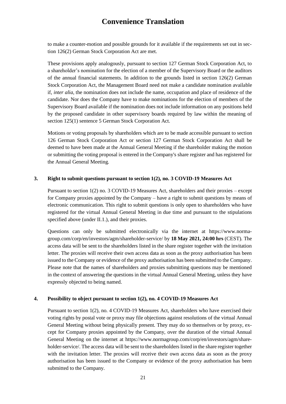to make a counter-motion and possible grounds for it available if the requirements set out in section 126(2) German Stock Corporation Act are met.

These provisions apply analogously, pursuant to section 127 German Stock Corporation Act, to a shareholder's nomination for the election of a member of the Supervisory Board or the auditors of the annual financial statements. In addition to the grounds listed in section 126(2) German Stock Corporation Act, the Management Board need not make a candidate nomination available if, *inter alia*, the nomination does not include the name, occupation and place of residence of the candidate. Nor does the Company have to make nominations for the election of members of the Supervisory Board available if the nomination does not include information on any positions held by the proposed candidate in other supervisory boards required by law within the meaning of section 125(1) sentence 5 German Stock Corporation Act.

Motions or voting proposals by shareholders which are to be made accessible pursuant to section 126 German Stock Corporation Act or section 127 German Stock Corporation Act shall be deemed to have been made at the Annual General Meeting if the shareholder making the motion or submitting the voting proposal is entered in the Company's share register and has registered for the Annual General Meeting.

#### **3. Right to submit questions pursuant to section 1(2), no. 3 COVID-19 Measures Act**

Pursuant to section 1(2) no. 3 COVID-19 Measures Act, shareholders and their proxies – except for Company proxies appointed by the Company – have a right to submit questions by means of electronic communication. This right to submit questions is only open to shareholders who have registered for the virtual Annual General Meeting in due time and pursuant to the stipulations specified above (under II.1.), and their proxies.

Questions can only be submitted electronically via the internet at https://www.normagroup.com/corp/en/investors/agm/shareholder-service/ by **18 May 2021, 24:00 hrs** (CEST). The access data will be sent to the shareholders listed in the share register together with the invitation letter. The proxies will receive their own access data as soon as the proxy authorisation has been issued to the Company or evidence of the proxy authorisation has been submitted to the Company. Please note that the names of shareholders and proxies submitting questions may be mentioned in the context of answering the questions in the virtual Annual General Meeting, unless they have expressly objected to being named.

#### **4. Possibility to object pursuant to section 1(2), no. 4 COVID-19 Measures Act**

Pursuant to section 1(2), no. 4 COVID-19 Measures Act, shareholders who have exercised their voting rights by postal vote or proxy may file objections against resolutions of the virtual Annual General Meeting without being physically present. They may do so themselves or by proxy, except for Company proxies appointed by the Company, over the duration of the virtual Annual General Meeting on the internet at https://www.normagroup.com/corp/en/investors/agm/shareholder-service/. The access data will be sent to the shareholders listed in the share register together with the invitation letter. The proxies will receive their own access data as soon as the proxy authorisation has been issued to the Company or evidence of the proxy authorisation has been submitted to the Company.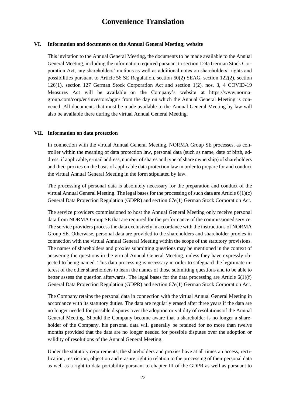#### **VI. Information and documents on the Annual General Meeting; website**

This invitation to the Annual General Meeting, the documents to be made available to the Annual General Meeting, including the information required pursuant to section 124a German Stock Corporation Act, any shareholders' motions as well as additional notes on shareholders' rights and possibilities pursuant to Article 56 SE Regulation, section 50(2) SEAG, section 122(2), section 126(1), section 127 German Stock Corporation Act and section 1(2), nos. 3, 4 COVID-19 Measures Act will be available on the Company's website at https://www.normagroup.com/corp/en/investors/agm/ from the day on which the Annual General Meeting is convened. All documents that must be made available to the Annual General Meeting by law will also be available there during the virtual Annual General Meeting.

#### **VII. Information on data protection**

In connection with the virtual Annual General Meeting, NORMA Group SE processes, as controller within the meaning of data protection law, personal data (such as name, date of birth, address, if applicable, e-mail address, number of shares and type of share ownership) of shareholders and their proxies on the basis of applicable data protection law in order to prepare for and conduct the virtual Annual General Meeting in the form stipulated by law.

The processing of personal data is absolutely necessary for the preparation and conduct of the virtual Annual General Meeting. The legal bases for the processing of such data are Article 6(1)(c) General Data Protection Regulation (GDPR) and section 67e(1) German Stock Corporation Act.

The service providers commissioned to host the Annual General Meeting only receive personal data from NORMA Group SE that are required for the performance of the commissioned service. The service providers process the data exclusively in accordance with the instructions of NORMA Group SE. Otherwise, personal data are provided to the shareholders and shareholder proxies in connection with the virtual Annual General Meeting within the scope of the statutory provisions. The names of shareholders and proxies submitting questions may be mentioned in the context of answering the questions in the virtual Annual General Meeting, unless they have expressly objected to being named. This data processing is necessary in order to safeguard the legitimate interest of the other shareholders to learn the names of those submitting questions and to be able to better assess the question afterwards. The legal bases for the data processing are Article  $6(1)(f)$ General Data Protection Regulation (GDPR) and section 67e(1) German Stock Corporation Act.

The Company retains the personal data in connection with the virtual Annual General Meeting in accordance with its statutory duties. The data are regularly erased after three years if the data are no longer needed for possible disputes over the adoption or validity of resolutions of the Annual General Meeting. Should the Company become aware that a shareholder is no longer a shareholder of the Company, his personal data will generally be retained for no more than twelve months provided that the data are no longer needed for possible disputes over the adoption or validity of resolutions of the Annual General Meeting.

Under the statutory requirements, the shareholders and proxies have at all times an access, rectification, restriction, objection and erasure right in relation to the processing of their personal data as well as a right to data portability pursuant to chapter III of the GDPR as well as pursuant to